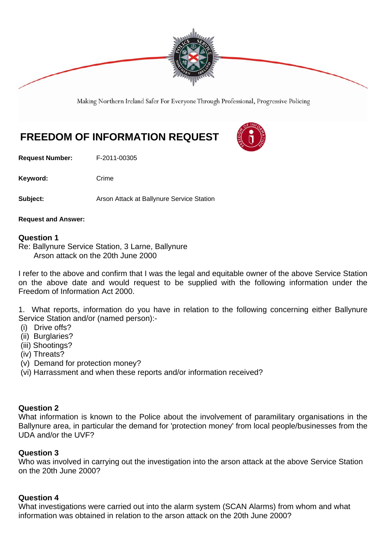

Making Northern Ireland Safer For Everyone Through Professional, Progressive Policing

# **FREEDOM OF INFORMATION REQUEST**

**Request Number:** F-2011-00305

Keyword: Crime

**Subject: Arson Attack at Ballynure Service Station** 

**Request and Answer:** 

#### **Question 1**

Re: Ballynure Service Station, 3 Larne, Ballynure Arson attack on the 20th June 2000

I refer to the above and confirm that I was the legal and equitable owner of the above Service Station on the above date and would request to be supplied with the following information under the Freedom of Information Act 2000.

1. What reports, information do you have in relation to the following concerning either Ballynure Service Station and/or (named person):-

- (i) Drive offs?
- (ii) Burglaries?
- (iii) Shootings?
- (iv) Threats?
- (v) Demand for protection money?
- (vi) Harrassment and when these reports and/or information received?

#### **Question 2**

What information is known to the Police about the involvement of paramilitary organisations in the Ballynure area, in particular the demand for 'protection money' from local people/businesses from the UDA and/or the UVF?

#### **Question 3**

Who was involved in carrying out the investigation into the arson attack at the above Service Station on the 20th June 2000?

#### **Question 4**

What investigations were carried out into the alarm system (SCAN Alarms) from whom and what information was obtained in relation to the arson attack on the 20th June 2000?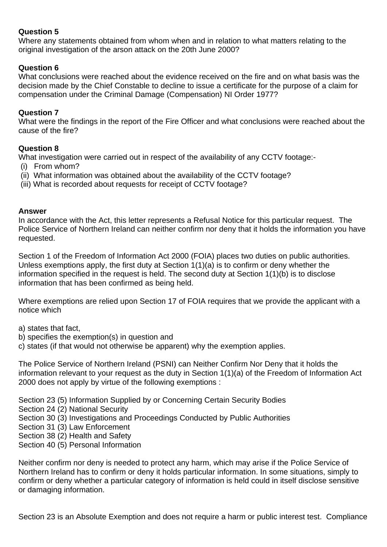# **Question 5**

Where any statements obtained from whom when and in relation to what matters relating to the original investigation of the arson attack on the 20th June 2000?

# **Question 6**

What conclusions were reached about the evidence received on the fire and on what basis was the decision made by the Chief Constable to decline to issue a certificate for the purpose of a claim for compensation under the Criminal Damage (Compensation) NI Order 1977?

#### **Question 7**

What were the findings in the report of the Fire Officer and what conclusions were reached about the cause of the fire?

#### **Question 8**

What investigation were carried out in respect of the availability of any CCTV footage:-

- (i) From whom?
- (ii) What information was obtained about the availability of the CCTV footage?
- (iii) What is recorded about requests for receipt of CCTV footage?

#### **Answer**

In accordance with the Act, this letter represents a Refusal Notice for this particular request. The Police Service of Northern Ireland can neither confirm nor deny that it holds the information you have requested.

Section 1 of the Freedom of Information Act 2000 (FOIA) places two duties on public authorities. Unless exemptions apply, the first duty at Section 1(1)(a) is to confirm or deny whether the information specified in the request is held. The second duty at Section 1(1)(b) is to disclose information that has been confirmed as being held.

Where exemptions are relied upon Section 17 of FOIA requires that we provide the applicant with a notice which

a) states that fact,

- b) specifies the exemption(s) in question and
- c) states (if that would not otherwise be apparent) why the exemption applies.

The Police Service of Northern Ireland (PSNI) can Neither Confirm Nor Deny that it holds the information relevant to your request as the duty in Section 1(1)(a) of the Freedom of Information Act 2000 does not apply by virtue of the following exemptions :

- Section 23 (5) Information Supplied by or Concerning Certain Security Bodies
- Section 24 (2) National Security
- Section 30 (3) Investigations and Proceedings Conducted by Public Authorities
- Section 31 (3) Law Enforcement
- Section 38 (2) Health and Safety
- Section 40 (5) Personal Information

Neither confirm nor deny is needed to protect any harm, which may arise if the Police Service of Northern Ireland has to confirm or deny it holds particular information. In some situations, simply to confirm or deny whether a particular category of information is held could in itself disclose sensitive or damaging information.

Section 23 is an Absolute Exemption and does not require a harm or public interest test. Compliance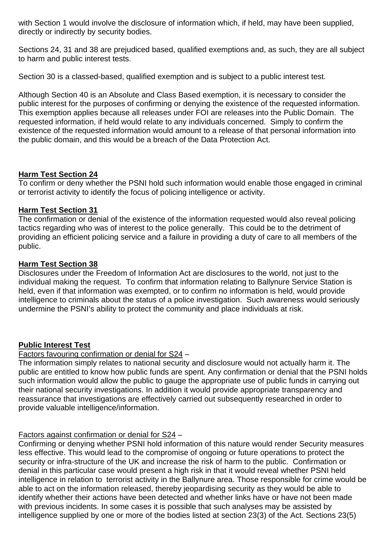with Section 1 would involve the disclosure of information which, if held, may have been supplied, directly or indirectly by security bodies.

Sections 24, 31 and 38 are prejudiced based, qualified exemptions and, as such, they are all subject to harm and public interest tests.

Section 30 is a classed-based, qualified exemption and is subject to a public interest test.

Although Section 40 is an Absolute and Class Based exemption, it is necessary to consider the public interest for the purposes of confirming or denying the existence of the requested information. This exemption applies because all releases under FOI are releases into the Public Domain. The requested information, if held would relate to any individuals concerned. Simply to confirm the existence of the requested information would amount to a release of that personal information into the public domain, and this would be a breach of the Data Protection Act.

#### **Harm Test Section 24**

To confirm or deny whether the PSNI hold such information would enable those engaged in criminal or terrorist activity to identify the focus of policing intelligence or activity.

# **Harm Test Section 31**

The confirmation or denial of the existence of the information requested would also reveal policing tactics regarding who was of interest to the police generally. This could be to the detriment of providing an efficient policing service and a failure in providing a duty of care to all members of the public.

# **Harm Test Section 38**

Disclosures under the Freedom of Information Act are disclosures to the world, not just to the individual making the request. To confirm that information relating to Ballynure Service Station is held, even if that information was exempted, or to confirm no information is held, would provide intelligence to criminals about the status of a police investigation. Such awareness would seriously undermine the PSNI's ability to protect the community and place individuals at risk.

#### **Public Interest Test**

# Factors favouring confirmation or denial for S24 –

The information simply relates to national security and disclosure would not actually harm it. The public are entitled to know how public funds are spent. Any confirmation or denial that the PSNI holds such information would allow the public to gauge the appropriate use of public funds in carrying out their national security investigations. In addition it would provide appropriate transparency and reassurance that investigations are effectively carried out subsequently researched in order to provide valuable intelligence/information.

# Factors against confirmation or denial for S24 –

Confirming or denying whether PSNI hold information of this nature would render Security measures less effective. This would lead to the compromise of ongoing or future operations to protect the security or infra-structure of the UK and increase the risk of harm to the public. Confirmation or denial in this particular case would present a high risk in that it would reveal whether PSNI held intelligence in relation to terrorist activity in the Ballynure area. Those responsible for crime would be able to act on the information released, thereby jeopardising security as they would be able to identify whether their actions have been detected and whether links have or have not been made with previous incidents. In some cases it is possible that such analyses may be assisted by intelligence supplied by one or more of the bodies listed at section 23(3) of the Act. Sections 23(5)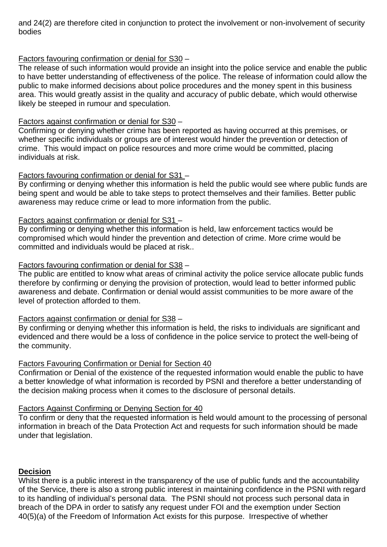and 24(2) are therefore cited in conjunction to protect the involvement or non-involvement of security bodies

# Factors favouring confirmation or denial for S30 –

The release of such information would provide an insight into the police service and enable the public to have better understanding of effectiveness of the police. The release of information could allow the public to make informed decisions about police procedures and the money spent in this business area. This would greatly assist in the quality and accuracy of public debate, which would otherwise likely be steeped in rumour and speculation.

# Factors against confirmation or denial for S30 –

Confirming or denying whether crime has been reported as having occurred at this premises, or whether specific individuals or groups are of interest would hinder the prevention or detection of crime. This would impact on police resources and more crime would be committed, placing individuals at risk.

# Factors favouring confirmation or denial for S31 –

By confirming or denying whether this information is held the public would see where public funds are being spent and would be able to take steps to protect themselves and their families. Better public awareness may reduce crime or lead to more information from the public.

# Factors against confirmation or denial for S31 –

By confirming or denying whether this information is held, law enforcement tactics would be compromised which would hinder the prevention and detection of crime. More crime would be committed and individuals would be placed at risk..

# Factors favouring confirmation or denial for S38 –

The public are entitled to know what areas of criminal activity the police service allocate public funds therefore by confirming or denying the provision of protection, would lead to better informed public awareness and debate. Confirmation or denial would assist communities to be more aware of the level of protection afforded to them.

#### Factors against confirmation or denial for S38 –

By confirming or denying whether this information is held, the risks to individuals are significant and evidenced and there would be a loss of confidence in the police service to protect the well-being of the community.

#### Factors Favouring Confirmation or Denial for Section 40

Confirmation or Denial of the existence of the requested information would enable the public to have a better knowledge of what information is recorded by PSNI and therefore a better understanding of the decision making process when it comes to the disclosure of personal details.

### Factors Against Confirming or Denying Section for 40

To confirm or deny that the requested information is held would amount to the processing of personal information in breach of the Data Protection Act and requests for such information should be made under that legislation.

#### **Decision**

Whilst there is a public interest in the transparency of the use of public funds and the accountability of the Service, there is also a strong public interest in maintaining confidence in the PSNI with regard to its handling of individual's personal data. The PSNI should not process such personal data in breach of the DPA in order to satisfy any request under FOI and the exemption under Section 40(5)(a) of the Freedom of Information Act exists for this purpose. Irrespective of whether